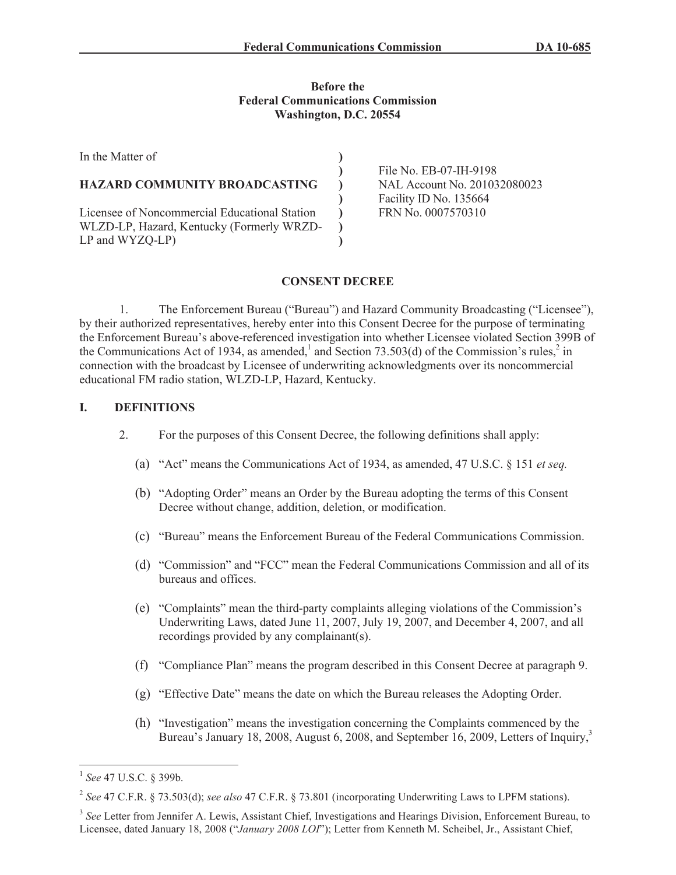#### **Before the Federal Communications Commission Washington, D.C. 20554**

| In the Matter of                              |                                                        |
|-----------------------------------------------|--------------------------------------------------------|
|                                               | File No. EB-07-IH-9198                                 |
| HAZARD COMMUNITY BROADCASTING                 | NAL Account No. 201032080023<br>Facility ID No. 135664 |
|                                               |                                                        |
| Licensee of Noncommercial Educational Station | FRN No. 0007570310                                     |
| WLZD-LP, Hazard, Kentucky (Formerly WRZD-     |                                                        |
| $LP$ and $WYZQ-LP$                            |                                                        |

## **CONSENT DECREE**

1. The Enforcement Bureau ("Bureau") and Hazard Community Broadcasting ("Licensee"), by their authorized representatives, hereby enter into this Consent Decree for the purpose of terminating the Enforcement Bureau's above-referenced investigation into whether Licensee violated Section 399B of the Communications Act of 1934, as amended, and Section 73.503(d) of the Commission's rules,  $2$  in connection with the broadcast by Licensee of underwriting acknowledgments over its noncommercial educational FM radio station, WLZD-LP, Hazard, Kentucky.

## **I. DEFINITIONS**

- 2. For the purposes of this Consent Decree, the following definitions shall apply:
	- (a) "Act" means the Communications Act of 1934, as amended, 47 U.S.C. § 151 *et seq.*
	- (b) "Adopting Order" means an Order by the Bureau adopting the terms of this Consent Decree without change, addition, deletion, or modification.
	- (c) "Bureau" means the Enforcement Bureau of the Federal Communications Commission.
	- (d) "Commission" and "FCC" mean the Federal Communications Commission and all of its bureaus and offices.
	- (e) "Complaints" mean the third-party complaints alleging violations of the Commission's Underwriting Laws, dated June 11, 2007, July 19, 2007, and December 4, 2007, and all recordings provided by any complainant(s).
	- (f) "Compliance Plan" means the program described in this Consent Decree at paragraph 9.
	- (g) "Effective Date" means the date on which the Bureau releases the Adopting Order.
	- (h) "Investigation" means the investigation concerning the Complaints commenced by the Bureau's January 18, 2008, August 6, 2008, and September 16, 2009, Letters of Inquiry,<sup>3</sup>

<sup>1</sup> *See* 47 U.S.C. § 399b.

<sup>2</sup> *See* 47 C.F.R. § 73.503(d); *see also* 47 C.F.R. § 73.801 (incorporating Underwriting Laws to LPFM stations).

<sup>&</sup>lt;sup>3</sup> See Letter from Jennifer A. Lewis, Assistant Chief, Investigations and Hearings Division, Enforcement Bureau, to Licensee, dated January 18, 2008 ("*January 2008 LOI*"); Letter from Kenneth M. Scheibel, Jr., Assistant Chief,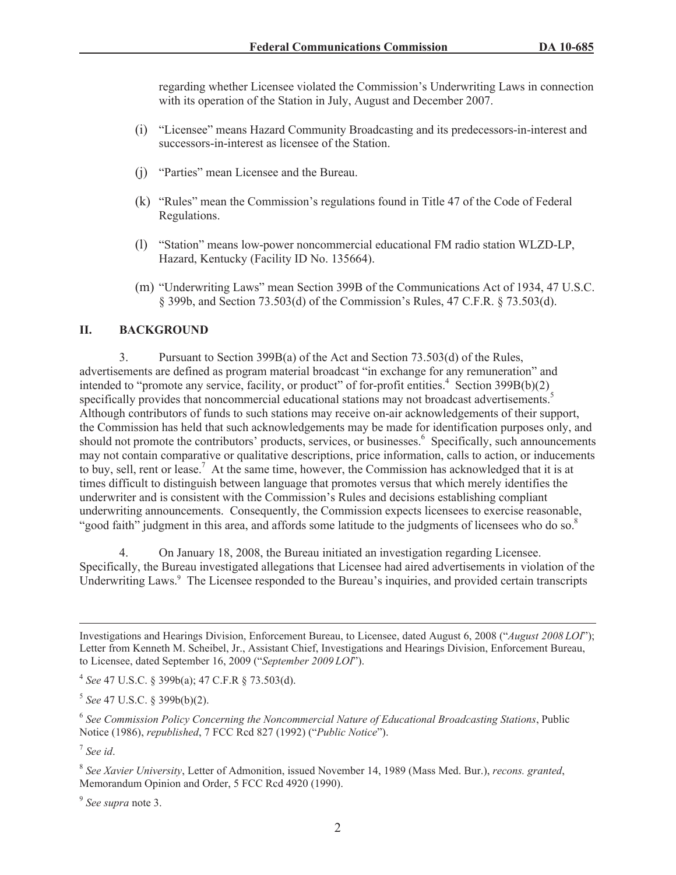regarding whether Licensee violated the Commission's Underwriting Laws in connection with its operation of the Station in July, August and December 2007.

- (i) "Licensee" means Hazard Community Broadcasting and its predecessors-in-interest and successors-in-interest as licensee of the Station.
- (j) "Parties" mean Licensee and the Bureau.
- (k) "Rules" mean the Commission's regulations found in Title 47 of the Code of Federal Regulations.
- (l) "Station" means low-power noncommercial educational FM radio station WLZD-LP, Hazard, Kentucky (Facility ID No. 135664).
- (m) "Underwriting Laws" mean Section 399B of the Communications Act of 1934, 47 U.S.C. § 399b, and Section 73.503(d) of the Commission's Rules, 47 C.F.R. § 73.503(d).

#### **II. BACKGROUND**

3. Pursuant to Section 399B(a) of the Act and Section 73.503(d) of the Rules, advertisements are defined as program material broadcast "in exchange for any remuneration" and intended to "promote any service, facility, or product" of for-profit entities.<sup>4</sup> Section 399B(b)(2) specifically provides that noncommercial educational stations may not broadcast advertisements.<sup>5</sup> Although contributors of funds to such stations may receive on-air acknowledgements of their support, the Commission has held that such acknowledgements may be made for identification purposes only, and should not promote the contributors' products, services, or businesses.<sup>6</sup> Specifically, such announcements may not contain comparative or qualitative descriptions, price information, calls to action, or inducements to buy, sell, rent or lease.<sup>7</sup> At the same time, however, the Commission has acknowledged that it is at times difficult to distinguish between language that promotes versus that which merely identifies the underwriter and is consistent with the Commission's Rules and decisions establishing compliant underwriting announcements. Consequently, the Commission expects licensees to exercise reasonable, "good faith" judgment in this area, and affords some latitude to the judgments of licensees who do so.<sup>8</sup>

4. On January 18, 2008, the Bureau initiated an investigation regarding Licensee. Specifically, the Bureau investigated allegations that Licensee had aired advertisements in violation of the Underwriting Laws.<sup>9</sup> The Licensee responded to the Bureau's inquiries, and provided certain transcripts

7 *See id*.

9 *See supra* note 3.

Investigations and Hearings Division, Enforcement Bureau, to Licensee, dated August 6, 2008 ("*August 2008 LOI*"); Letter from Kenneth M. Scheibel, Jr., Assistant Chief, Investigations and Hearings Division, Enforcement Bureau, to Licensee, dated September 16, 2009 ("*September 2009 LOI*").

<sup>4</sup> *See* 47 U.S.C. § 399b(a); 47 C.F.R § 73.503(d).

<sup>5</sup> *See* 47 U.S.C. § 399b(b)(2).

<sup>6</sup> *See Commission Policy Concerning the Noncommercial Nature of Educational Broadcasting Stations*, Public Notice (1986), *republished*, 7 FCC Rcd 827 (1992) ("*Public Notice*").

<sup>8</sup> *See Xavier University*, Letter of Admonition, issued November 14, 1989 (Mass Med. Bur.), *recons. granted*, Memorandum Opinion and Order, 5 FCC Rcd 4920 (1990).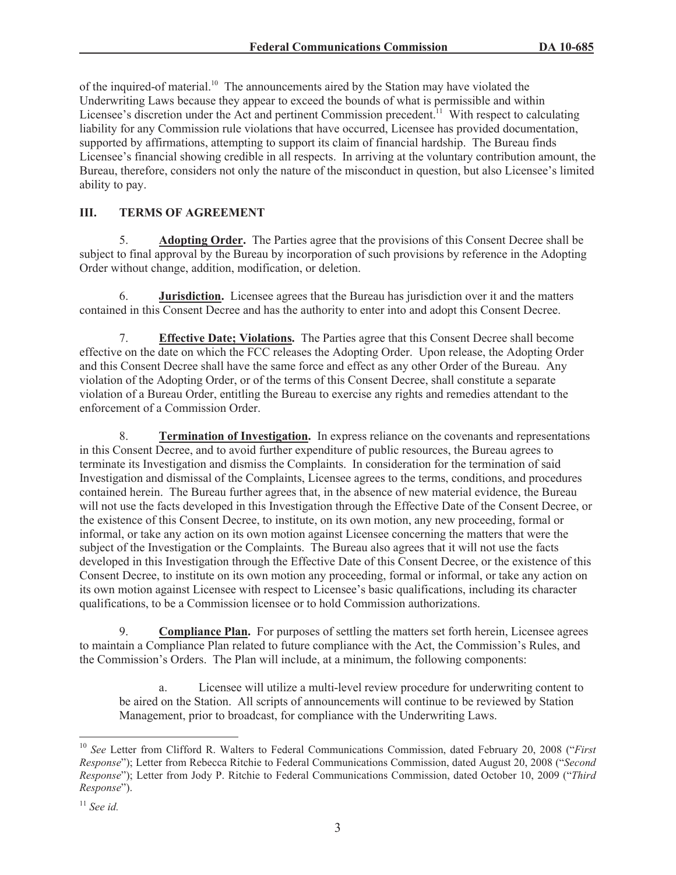of the inquired-of material.<sup>10</sup> The announcements aired by the Station may have violated the Underwriting Laws because they appear to exceed the bounds of what is permissible and within Licensee's discretion under the Act and pertinent Commission precedent.<sup>11</sup> With respect to calculating liability for any Commission rule violations that have occurred, Licensee has provided documentation, supported by affirmations, attempting to support its claim of financial hardship. The Bureau finds Licensee's financial showing credible in all respects. In arriving at the voluntary contribution amount, the Bureau, therefore, considers not only the nature of the misconduct in question, but also Licensee's limited ability to pay.

# **III. TERMS OF AGREEMENT**

5. **Adopting Order.** The Parties agree that the provisions of this Consent Decree shall be subject to final approval by the Bureau by incorporation of such provisions by reference in the Adopting Order without change, addition, modification, or deletion.

6. **Jurisdiction.** Licensee agrees that the Bureau has jurisdiction over it and the matters contained in this Consent Decree and has the authority to enter into and adopt this Consent Decree.

7. **Effective Date; Violations.** The Parties agree that this Consent Decree shall become effective on the date on which the FCC releases the Adopting Order. Upon release, the Adopting Order and this Consent Decree shall have the same force and effect as any other Order of the Bureau. Any violation of the Adopting Order, or of the terms of this Consent Decree, shall constitute a separate violation of a Bureau Order, entitling the Bureau to exercise any rights and remedies attendant to the enforcement of a Commission Order.

8. **Termination of Investigation.** In express reliance on the covenants and representations in this Consent Decree, and to avoid further expenditure of public resources, the Bureau agrees to terminate its Investigation and dismiss the Complaints. In consideration for the termination of said Investigation and dismissal of the Complaints, Licensee agrees to the terms, conditions, and procedures contained herein. The Bureau further agrees that, in the absence of new material evidence, the Bureau will not use the facts developed in this Investigation through the Effective Date of the Consent Decree, or the existence of this Consent Decree, to institute, on its own motion, any new proceeding, formal or informal, or take any action on its own motion against Licensee concerning the matters that were the subject of the Investigation or the Complaints. The Bureau also agrees that it will not use the facts developed in this Investigation through the Effective Date of this Consent Decree, or the existence of this Consent Decree, to institute on its own motion any proceeding, formal or informal, or take any action on its own motion against Licensee with respect to Licensee's basic qualifications, including its character qualifications, to be a Commission licensee or to hold Commission authorizations.

9. **Compliance Plan.** For purposes of settling the matters set forth herein, Licensee agrees to maintain a Compliance Plan related to future compliance with the Act, the Commission's Rules, and the Commission's Orders. The Plan will include, at a minimum, the following components:

a. Licensee will utilize a multi-level review procedure for underwriting content to be aired on the Station. All scripts of announcements will continue to be reviewed by Station Management, prior to broadcast, for compliance with the Underwriting Laws.

<sup>&</sup>lt;sup>10</sup> *See* Letter from Clifford R. Walters to Federal Communications Commission, dated February 20, 2008 ("*First Response*"); Letter from Rebecca Ritchie to Federal Communications Commission, dated August 20, 2008 ("*Second Response*"); Letter from Jody P. Ritchie to Federal Communications Commission, dated October 10, 2009 ("*Third Response*").

<sup>11</sup> *See id.*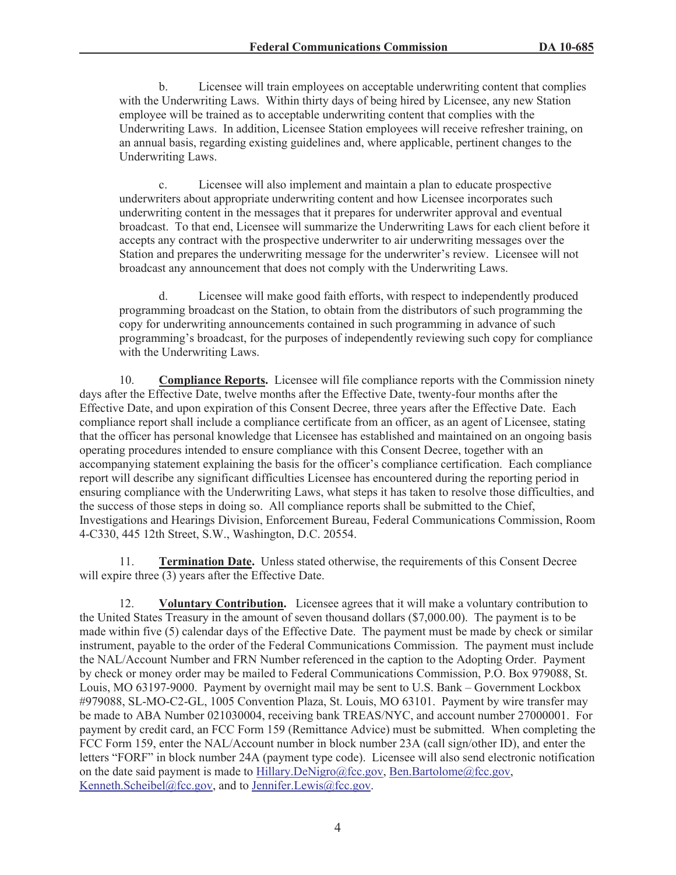b. Licensee will train employees on acceptable underwriting content that complies with the Underwriting Laws. Within thirty days of being hired by Licensee, any new Station employee will be trained as to acceptable underwriting content that complies with the Underwriting Laws. In addition, Licensee Station employees will receive refresher training, on an annual basis, regarding existing guidelines and, where applicable, pertinent changes to the Underwriting Laws.

c. Licensee will also implement and maintain a plan to educate prospective underwriters about appropriate underwriting content and how Licensee incorporates such underwriting content in the messages that it prepares for underwriter approval and eventual broadcast. To that end, Licensee will summarize the Underwriting Laws for each client before it accepts any contract with the prospective underwriter to air underwriting messages over the Station and prepares the underwriting message for the underwriter's review. Licensee will not broadcast any announcement that does not comply with the Underwriting Laws.

d. Licensee will make good faith efforts, with respect to independently produced programming broadcast on the Station, to obtain from the distributors of such programming the copy for underwriting announcements contained in such programming in advance of such programming's broadcast, for the purposes of independently reviewing such copy for compliance with the Underwriting Laws.

10. **Compliance Reports.** Licensee will file compliance reports with the Commission ninety days after the Effective Date, twelve months after the Effective Date, twenty-four months after the Effective Date, and upon expiration of this Consent Decree, three years after the Effective Date. Each compliance report shall include a compliance certificate from an officer, as an agent of Licensee, stating that the officer has personal knowledge that Licensee has established and maintained on an ongoing basis operating procedures intended to ensure compliance with this Consent Decree, together with an accompanying statement explaining the basis for the officer's compliance certification. Each compliance report will describe any significant difficulties Licensee has encountered during the reporting period in ensuring compliance with the Underwriting Laws, what steps it has taken to resolve those difficulties, and the success of those steps in doing so. All compliance reports shall be submitted to the Chief, Investigations and Hearings Division, Enforcement Bureau, Federal Communications Commission, Room 4-C330, 445 12th Street, S.W., Washington, D.C. 20554.

11. **Termination Date.** Unless stated otherwise, the requirements of this Consent Decree will expire three (3) years after the Effective Date.

12. **Voluntary Contribution.** Licensee agrees that it will make a voluntary contribution to the United States Treasury in the amount of seven thousand dollars (\$7,000.00). The payment is to be made within five (5) calendar days of the Effective Date. The payment must be made by check or similar instrument, payable to the order of the Federal Communications Commission. The payment must include the NAL/Account Number and FRN Number referenced in the caption to the Adopting Order. Payment by check or money order may be mailed to Federal Communications Commission, P.O. Box 979088, St. Louis, MO 63197-9000. Payment by overnight mail may be sent to U.S. Bank – Government Lockbox #979088, SL-MO-C2-GL, 1005 Convention Plaza, St. Louis, MO 63101. Payment by wire transfer may be made to ABA Number 021030004, receiving bank TREAS/NYC, and account number 27000001. For payment by credit card, an FCC Form 159 (Remittance Advice) must be submitted. When completing the FCC Form 159, enter the NAL/Account number in block number 23A (call sign/other ID), and enter the letters "FORF" in block number 24A (payment type code). Licensee will also send electronic notification on the date said payment is made to Hillary.DeNigro@fcc.gov, Ben.Bartolome@fcc.gov, Kenneth.Scheibel@fcc.gov, and to Jennifer.Lewis@fcc.gov.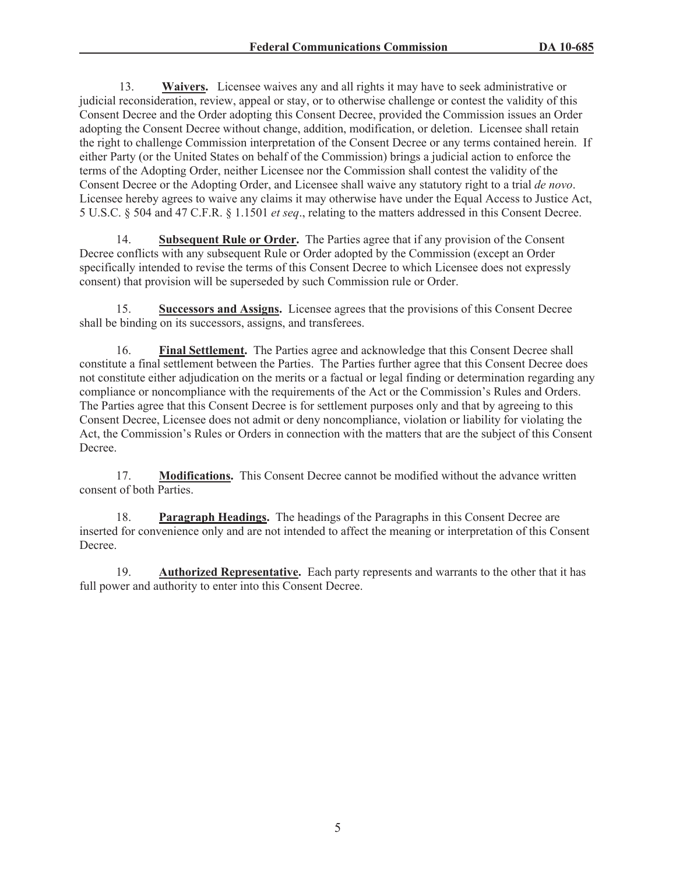13. **Waivers.** Licensee waives any and all rights it may have to seek administrative or judicial reconsideration, review, appeal or stay, or to otherwise challenge or contest the validity of this Consent Decree and the Order adopting this Consent Decree, provided the Commission issues an Order adopting the Consent Decree without change, addition, modification, or deletion. Licensee shall retain the right to challenge Commission interpretation of the Consent Decree or any terms contained herein. If either Party (or the United States on behalf of the Commission) brings a judicial action to enforce the terms of the Adopting Order, neither Licensee nor the Commission shall contest the validity of the Consent Decree or the Adopting Order, and Licensee shall waive any statutory right to a trial *de novo*. Licensee hereby agrees to waive any claims it may otherwise have under the Equal Access to Justice Act, 5 U.S.C. § 504 and 47 C.F.R. § 1.1501 *et seq*., relating to the matters addressed in this Consent Decree.

14. **Subsequent Rule or Order.** The Parties agree that if any provision of the Consent Decree conflicts with any subsequent Rule or Order adopted by the Commission (except an Order specifically intended to revise the terms of this Consent Decree to which Licensee does not expressly consent) that provision will be superseded by such Commission rule or Order.

15. **Successors and Assigns.** Licensee agrees that the provisions of this Consent Decree shall be binding on its successors, assigns, and transferees.

16. **Final Settlement.** The Parties agree and acknowledge that this Consent Decree shall constitute a final settlement between the Parties. The Parties further agree that this Consent Decree does not constitute either adjudication on the merits or a factual or legal finding or determination regarding any compliance or noncompliance with the requirements of the Act or the Commission's Rules and Orders. The Parties agree that this Consent Decree is for settlement purposes only and that by agreeing to this Consent Decree, Licensee does not admit or deny noncompliance, violation or liability for violating the Act, the Commission's Rules or Orders in connection with the matters that are the subject of this Consent Decree.

17. **Modifications.** This Consent Decree cannot be modified without the advance written consent of both Parties.

18. **Paragraph Headings.** The headings of the Paragraphs in this Consent Decree are inserted for convenience only and are not intended to affect the meaning or interpretation of this Consent Decree.

19. **Authorized Representative.** Each party represents and warrants to the other that it has full power and authority to enter into this Consent Decree.